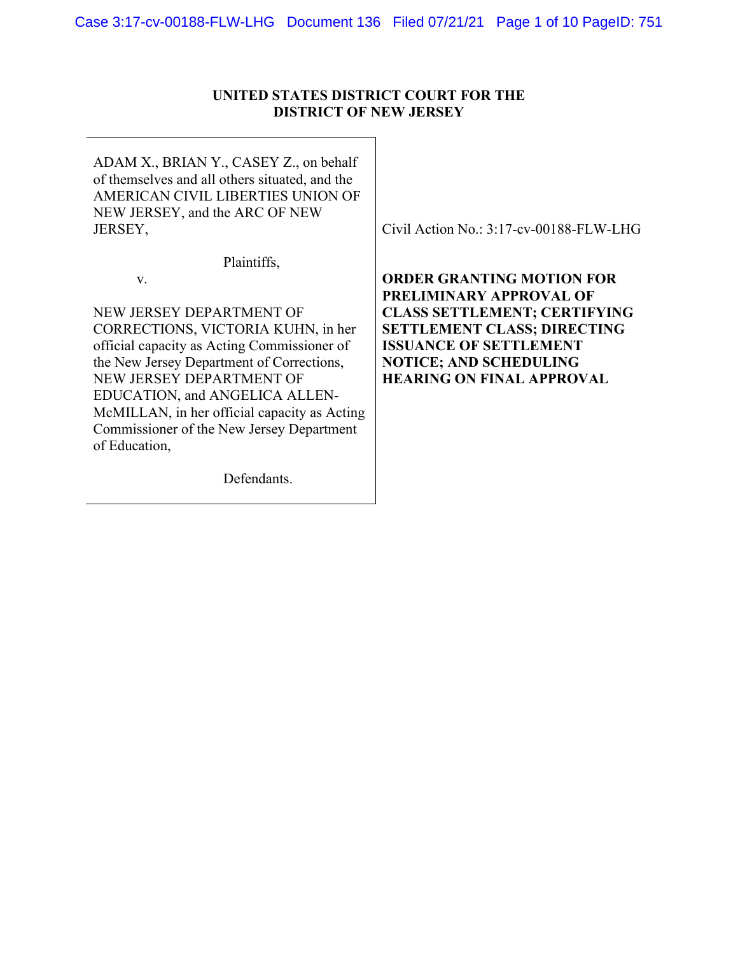## **UNITED STATES DISTRICT COURT FOR THE DISTRICT OF NEW JERSEY**

ADAM X., BRIAN Y., CASEY Z., on behalf of themselves and all others situated, and the AMERICAN CIVIL LIBERTIES UNION OF NEW JERSEY, and the ARC OF NEW JERSEY,

Plaintiffs,

v.

NEW JERSEY DEPARTMENT OF CORRECTIONS, VICTORIA KUHN, in her official capacity as Acting Commissioner of the New Jersey Department of Corrections, NEW JERSEY DEPARTMENT OF EDUCATION, and ANGELICA ALLEN-McMILLAN, in her official capacity as Acting Commissioner of the New Jersey Department of Education,

Defendants.

Civil Action No.: 3:17-cv-00188-FLW-LHG

**ORDER GRANTING MOTION FOR PRELIMINARY APPROVAL OF CLASS SETTLEMENT; CERTIFYING SETTLEMENT CLASS; DIRECTING ISSUANCE OF SETTLEMENT NOTICE; AND SCHEDULING HEARING ON FINAL APPROVAL**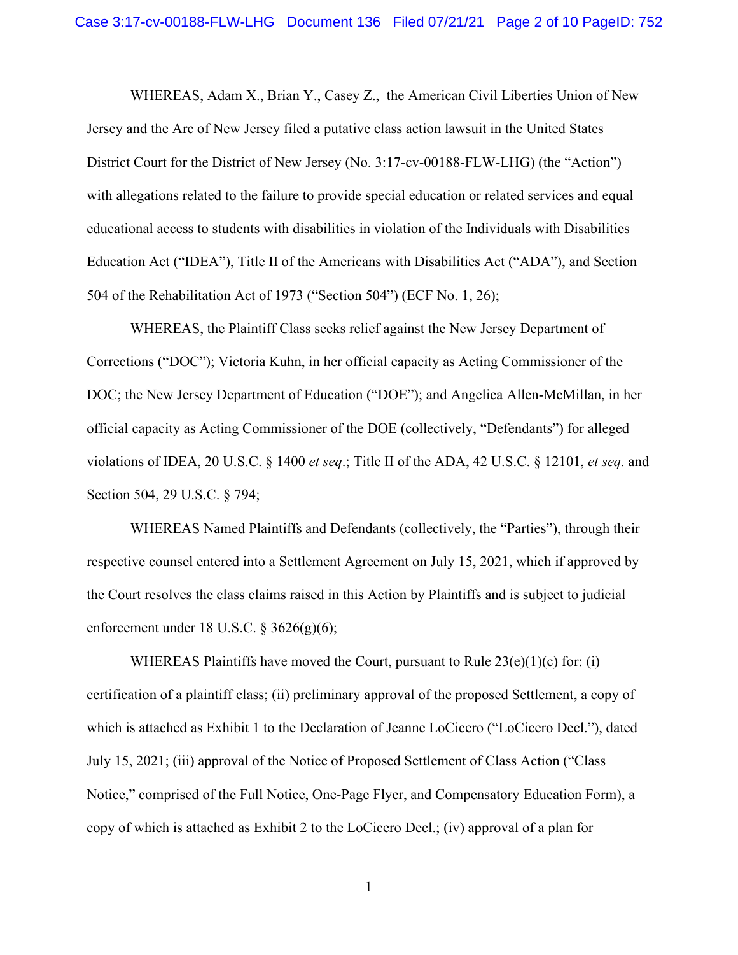WHEREAS, Adam X., Brian Y., Casey Z., the American Civil Liberties Union of New Jersey and the Arc of New Jersey filed a putative class action lawsuit in the United States District Court for the District of New Jersey (No. 3:17-cv-00188-FLW-LHG) (the "Action") with allegations related to the failure to provide special education or related services and equal educational access to students with disabilities in violation of the Individuals with Disabilities Education Act ("IDEA"), Title II of the Americans with Disabilities Act ("ADA"), and Section 504 of the Rehabilitation Act of 1973 ("Section 504") (ECF No. 1, 26);

WHEREAS, the Plaintiff Class seeks relief against the New Jersey Department of Corrections ("DOC"); Victoria Kuhn, in her official capacity as Acting Commissioner of the DOC; the New Jersey Department of Education ("DOE"); and Angelica Allen-McMillan, in her official capacity as Acting Commissioner of the DOE (collectively, "Defendants") for alleged violations of IDEA, 20 U.S.C. § 1400 *et seq*.; Title II of the ADA, 42 U.S.C. § 12101, *et seq.* and Section 504, 29 U.S.C. § 794;

WHEREAS Named Plaintiffs and Defendants (collectively, the "Parties"), through their respective counsel entered into a Settlement Agreement on July 15, 2021, which if approved by the Court resolves the class claims raised in this Action by Plaintiffs and is subject to judicial enforcement under 18 U.S.C. § 3626(g)(6);

WHEREAS Plaintiffs have moved the Court, pursuant to Rule  $23(e)(1)(c)$  for: (i) certification of a plaintiff class; (ii) preliminary approval of the proposed Settlement, a copy of which is attached as Exhibit 1 to the Declaration of Jeanne LoCicero ("LoCicero Decl."), dated July 15, 2021; (iii) approval of the Notice of Proposed Settlement of Class Action ("Class Notice," comprised of the Full Notice, One-Page Flyer, and Compensatory Education Form), a copy of which is attached as Exhibit 2 to the LoCicero Decl.; (iv) approval of a plan for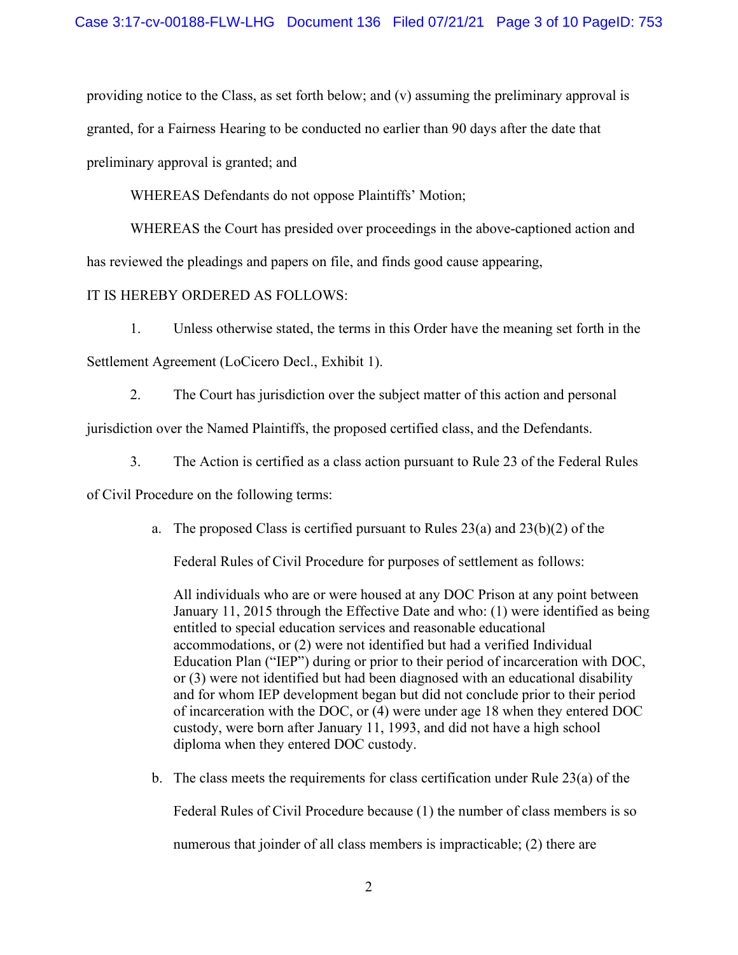providing notice to the Class, as set forth below; and (v) assuming the preliminary approval is granted, for a Fairness Hearing to be conducted no earlier than 90 days after the date that preliminary approval is granted; and

WHEREAS Defendants do not oppose Plaintiffs' Motion;

WHEREAS the Court has presided over proceedings in the above-captioned action and has reviewed the pleadings and papers on file, and finds good cause appearing,

IT IS HEREBY ORDERED AS FOLLOWS:

1. Unless otherwise stated, the terms in this Order have the meaning set forth in the

Settlement Agreement (LoCicero Decl., Exhibit 1).

2. The Court has jurisdiction over the subject matter of this action and personal

jurisdiction over the Named Plaintiffs, the proposed certified class, and the Defendants.

3. The Action is certified as a class action pursuant to Rule 23 of the Federal Rules

of Civil Procedure on the following terms:

a. The proposed Class is certified pursuant to Rules  $23(a)$  and  $23(b)(2)$  of the

Federal Rules of Civil Procedure for purposes of settlement as follows:

All individuals who are or were housed at any DOC Prison at any point between January 11, 2015 through the Effective Date and who: (1) were identified as being entitled to special education services and reasonable educational accommodations, or (2) were not identified but had a verified Individual Education Plan ("IEP") during or prior to their period of incarceration with DOC, or (3) were not identified but had been diagnosed with an educational disability and for whom IEP development began but did not conclude prior to their period of incarceration with the DOC, or (4) were under age 18 when they entered DOC custody, were born after January 11, 1993, and did not have a high school diploma when they entered DOC custody.

b. The class meets the requirements for class certification under Rule 23(a) of the

Federal Rules of Civil Procedure because (1) the number of class members is so

numerous that joinder of all class members is impracticable; (2) there are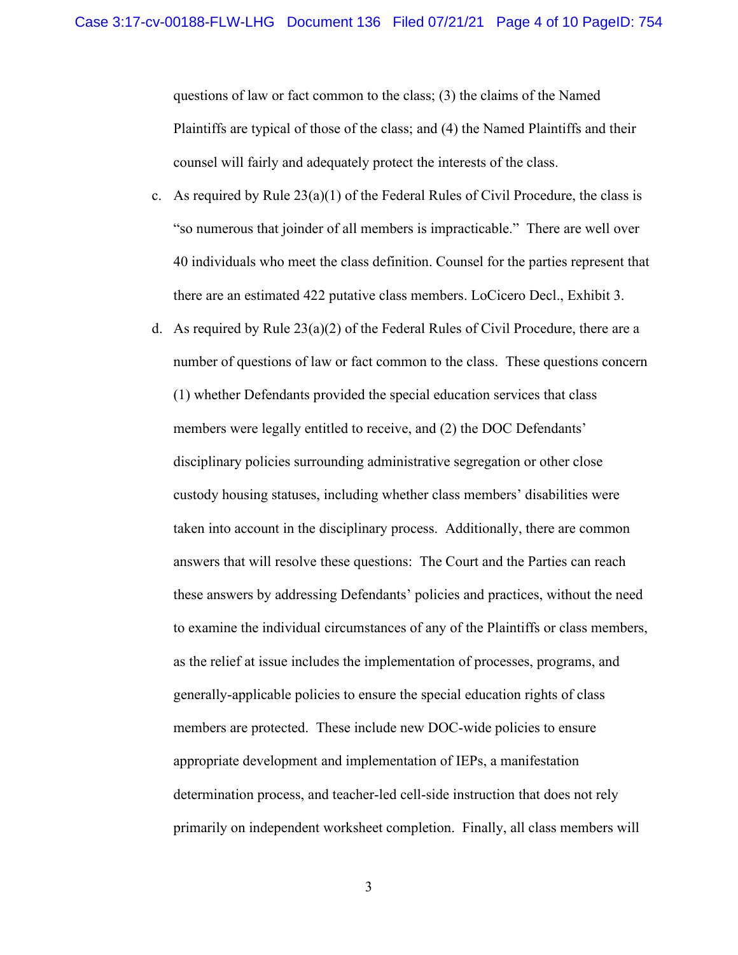questions of law or fact common to the class; (3) the claims of the Named Plaintiffs are typical of those of the class; and (4) the Named Plaintiffs and their counsel will fairly and adequately protect the interests of the class.

- c. As required by Rule  $23(a)(1)$  of the Federal Rules of Civil Procedure, the class is "so numerous that joinder of all members is impracticable." There are well over 40 individuals who meet the class definition. Counsel for the parties represent that there are an estimated 422 putative class members. LoCicero Decl., Exhibit 3.
- d. As required by Rule  $23(a)(2)$  of the Federal Rules of Civil Procedure, there are a number of questions of law or fact common to the class. These questions concern (1) whether Defendants provided the special education services that class members were legally entitled to receive, and (2) the DOC Defendants' disciplinary policies surrounding administrative segregation or other close custody housing statuses, including whether class members' disabilities were taken into account in the disciplinary process. Additionally, there are common answers that will resolve these questions: The Court and the Parties can reach these answers by addressing Defendants' policies and practices, without the need to examine the individual circumstances of any of the Plaintiffs or class members, as the relief at issue includes the implementation of processes, programs, and generally-applicable policies to ensure the special education rights of class members are protected. These include new DOC-wide policies to ensure appropriate development and implementation of IEPs, a manifestation determination process, and teacher-led cell-side instruction that does not rely primarily on independent worksheet completion. Finally, all class members will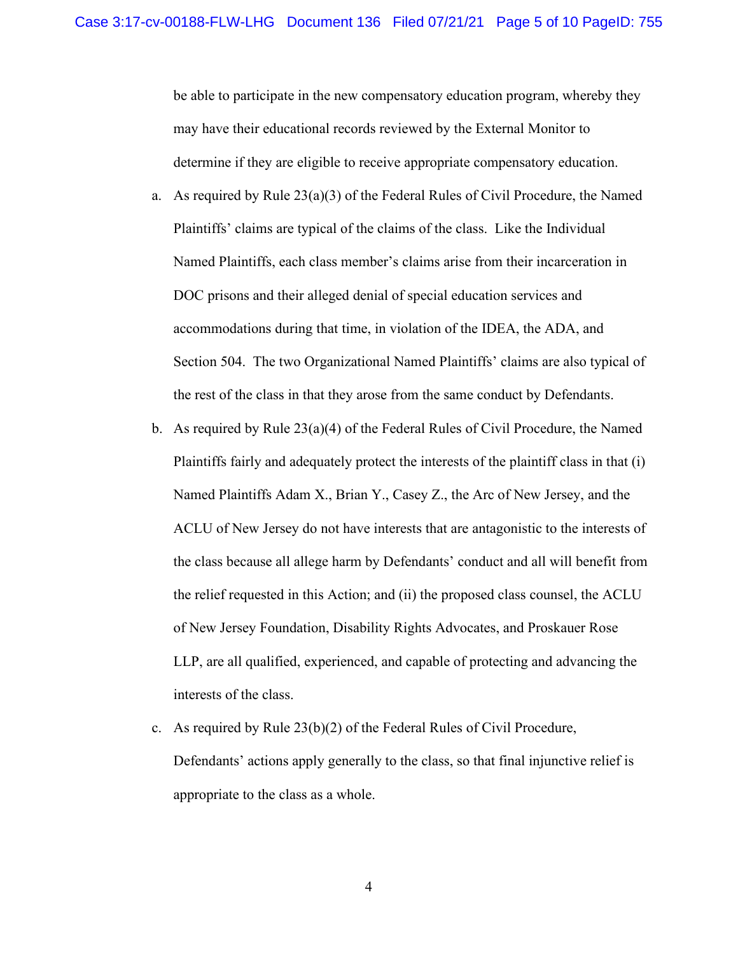be able to participate in the new compensatory education program, whereby they may have their educational records reviewed by the External Monitor to determine if they are eligible to receive appropriate compensatory education.

- a. As required by Rule  $23(a)(3)$  of the Federal Rules of Civil Procedure, the Named Plaintiffs' claims are typical of the claims of the class. Like the Individual Named Plaintiffs, each class member's claims arise from their incarceration in DOC prisons and their alleged denial of special education services and accommodations during that time, in violation of the IDEA, the ADA, and Section 504. The two Organizational Named Plaintiffs' claims are also typical of the rest of the class in that they arose from the same conduct by Defendants.
- b. As required by Rule  $23(a)(4)$  of the Federal Rules of Civil Procedure, the Named Plaintiffs fairly and adequately protect the interests of the plaintiff class in that (i) Named Plaintiffs Adam X., Brian Y., Casey Z., the Arc of New Jersey, and the ACLU of New Jersey do not have interests that are antagonistic to the interests of the class because all allege harm by Defendants' conduct and all will benefit from the relief requested in this Action; and (ii) the proposed class counsel, the ACLU of New Jersey Foundation, Disability Rights Advocates, and Proskauer Rose LLP, are all qualified, experienced, and capable of protecting and advancing the interests of the class.
- c. As required by Rule 23(b)(2) of the Federal Rules of Civil Procedure, Defendants' actions apply generally to the class, so that final injunctive relief is appropriate to the class as a whole.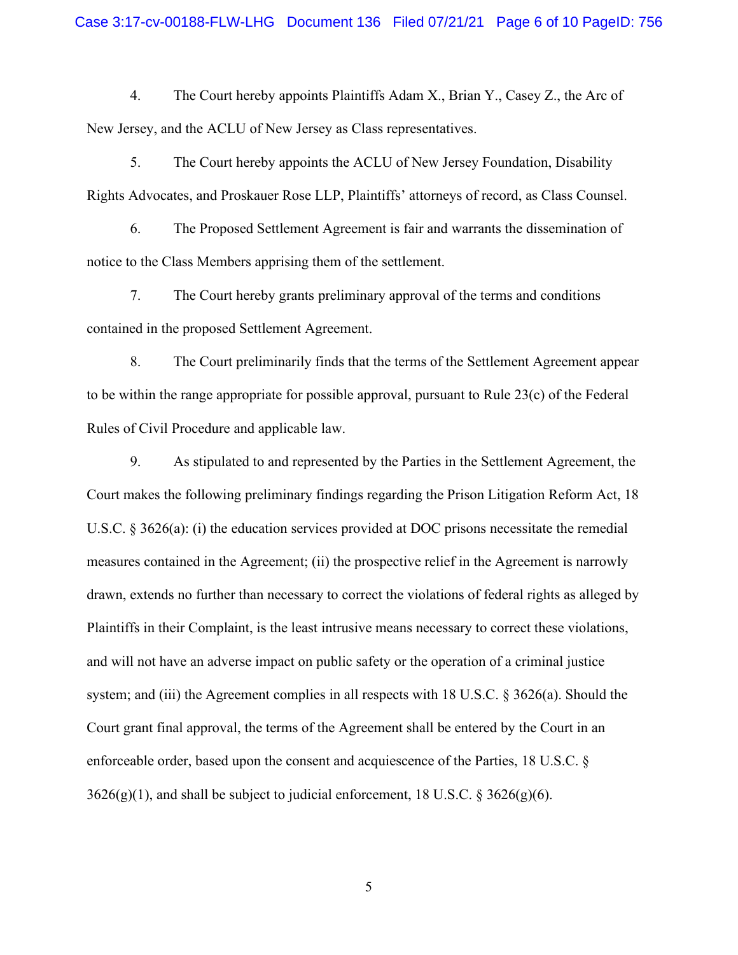4. The Court hereby appoints Plaintiffs Adam X., Brian Y., Casey Z., the Arc of New Jersey, and the ACLU of New Jersey as Class representatives.

5. The Court hereby appoints the ACLU of New Jersey Foundation, Disability Rights Advocates, and Proskauer Rose LLP, Plaintiffs' attorneys of record, as Class Counsel.

6. The Proposed Settlement Agreement is fair and warrants the dissemination of notice to the Class Members apprising them of the settlement.

7. The Court hereby grants preliminary approval of the terms and conditions contained in the proposed Settlement Agreement.

8. The Court preliminarily finds that the terms of the Settlement Agreement appear to be within the range appropriate for possible approval, pursuant to Rule 23(c) of the Federal Rules of Civil Procedure and applicable law.

9. As stipulated to and represented by the Parties in the Settlement Agreement, the Court makes the following preliminary findings regarding the Prison Litigation Reform Act, 18 U.S.C. § 3626(a): (i) the education services provided at DOC prisons necessitate the remedial measures contained in the Agreement; (ii) the prospective relief in the Agreement is narrowly drawn, extends no further than necessary to correct the violations of federal rights as alleged by Plaintiffs in their Complaint, is the least intrusive means necessary to correct these violations, and will not have an adverse impact on public safety or the operation of a criminal justice system; and (iii) the Agreement complies in all respects with 18 U.S.C. § 3626(a). Should the Court grant final approval, the terms of the Agreement shall be entered by the Court in an enforceable order, based upon the consent and acquiescence of the Parties, 18 U.S.C. §  $3626(g)(1)$ , and shall be subject to judicial enforcement, 18 U.S.C. § 3626(g)(6).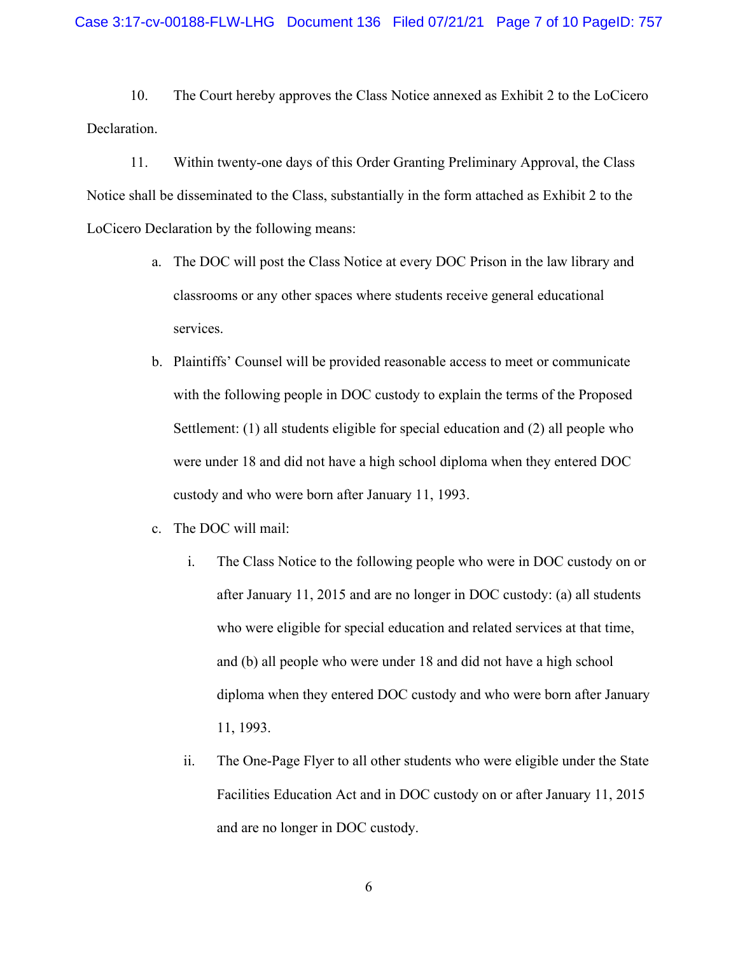10. The Court hereby approves the Class Notice annexed as Exhibit 2 to the LoCicero Declaration.

11. Within twenty-one days of this Order Granting Preliminary Approval, the Class Notice shall be disseminated to the Class, substantially in the form attached as Exhibit 2 to the LoCicero Declaration by the following means:

- a. The DOC will post the Class Notice at every DOC Prison in the law library and classrooms or any other spaces where students receive general educational services.
- b. Plaintiffs' Counsel will be provided reasonable access to meet or communicate with the following people in DOC custody to explain the terms of the Proposed Settlement: (1) all students eligible for special education and (2) all people who were under 18 and did not have a high school diploma when they entered DOC custody and who were born after January 11, 1993.
- c. The DOC will mail:
	- i. The Class Notice to the following people who were in DOC custody on or after January 11, 2015 and are no longer in DOC custody: (a) all students who were eligible for special education and related services at that time, and (b) all people who were under 18 and did not have a high school diploma when they entered DOC custody and who were born after January 11, 1993.
	- ii. The One-Page Flyer to all other students who were eligible under the State Facilities Education Act and in DOC custody on or after January 11, 2015 and are no longer in DOC custody.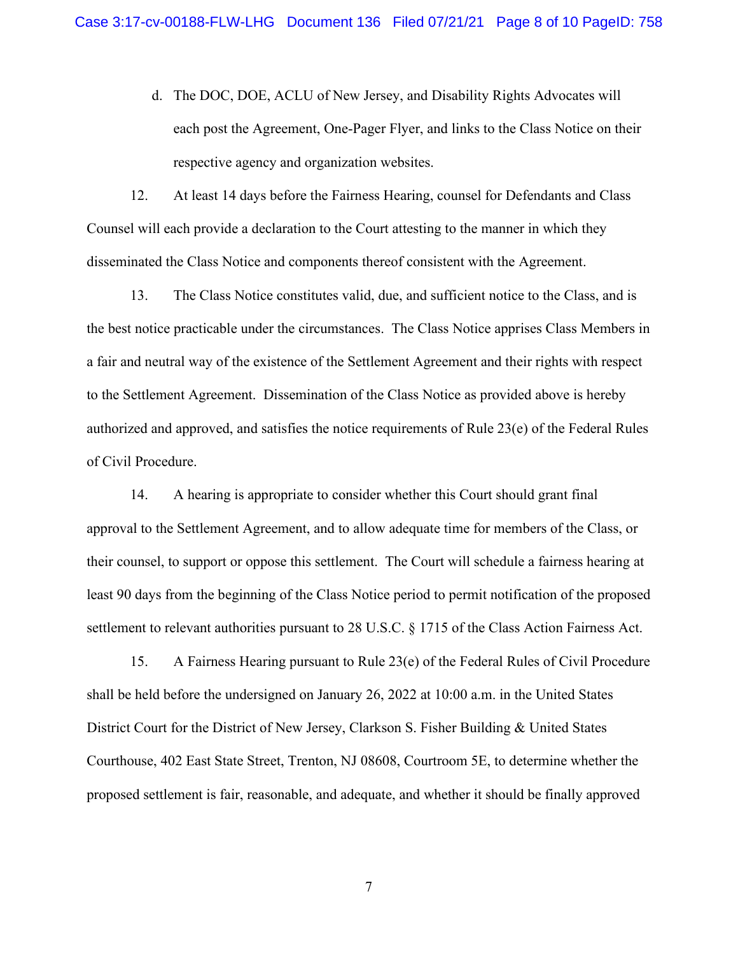d. The DOC, DOE, ACLU of New Jersey, and Disability Rights Advocates will each post the Agreement, One-Pager Flyer, and links to the Class Notice on their respective agency and organization websites.

12. At least 14 days before the Fairness Hearing, counsel for Defendants and Class Counsel will each provide a declaration to the Court attesting to the manner in which they disseminated the Class Notice and components thereof consistent with the Agreement.

13. The Class Notice constitutes valid, due, and sufficient notice to the Class, and is the best notice practicable under the circumstances. The Class Notice apprises Class Members in a fair and neutral way of the existence of the Settlement Agreement and their rights with respect to the Settlement Agreement. Dissemination of the Class Notice as provided above is hereby authorized and approved, and satisfies the notice requirements of Rule 23(e) of the Federal Rules of Civil Procedure.

14. A hearing is appropriate to consider whether this Court should grant final approval to the Settlement Agreement, and to allow adequate time for members of the Class, or their counsel, to support or oppose this settlement. The Court will schedule a fairness hearing at least 90 days from the beginning of the Class Notice period to permit notification of the proposed settlement to relevant authorities pursuant to 28 U.S.C. § 1715 of the Class Action Fairness Act.

15. A Fairness Hearing pursuant to Rule 23(e) of the Federal Rules of Civil Procedure shall be held before the undersigned on January 26, 2022 at 10:00 a.m. in the United States District Court for the District of New Jersey, Clarkson S. Fisher Building & United States Courthouse, 402 East State Street, Trenton, NJ 08608, Courtroom 5E, to determine whether the proposed settlement is fair, reasonable, and adequate, and whether it should be finally approved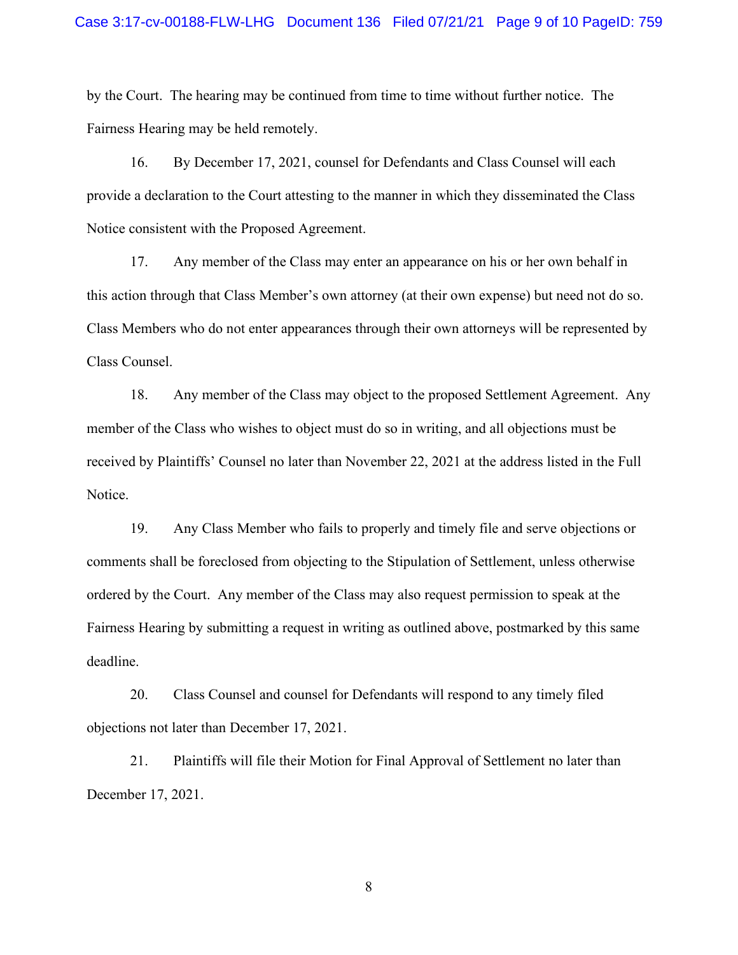## Case 3:17-cv-00188-FLW-LHG Document 136 Filed 07/21/21 Page 9 of 10 PageID: 759

by the Court. The hearing may be continued from time to time without further notice. The Fairness Hearing may be held remotely.

16. By December 17, 2021, counsel for Defendants and Class Counsel will each provide a declaration to the Court attesting to the manner in which they disseminated the Class Notice consistent with the Proposed Agreement.

17. Any member of the Class may enter an appearance on his or her own behalf in this action through that Class Member's own attorney (at their own expense) but need not do so. Class Members who do not enter appearances through their own attorneys will be represented by Class Counsel.

18. Any member of the Class may object to the proposed Settlement Agreement. Any member of the Class who wishes to object must do so in writing, and all objections must be received by Plaintiffs' Counsel no later than November 22, 2021 at the address listed in the Full Notice.

19. Any Class Member who fails to properly and timely file and serve objections or comments shall be foreclosed from objecting to the Stipulation of Settlement, unless otherwise ordered by the Court. Any member of the Class may also request permission to speak at the Fairness Hearing by submitting a request in writing as outlined above, postmarked by this same deadline.

20. Class Counsel and counsel for Defendants will respond to any timely filed objections not later than December 17, 2021.

21. Plaintiffs will file their Motion for Final Approval of Settlement no later than December 17, 2021.